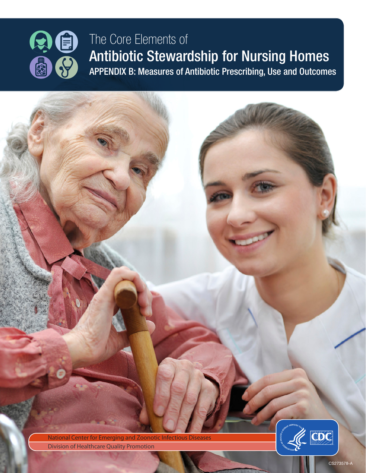

## The Core Elements of Antibiotic Stewardship for Nursing Homes APPENDIX B: Measures of Antibiotic Prescribing, Use and Outcomes

National Center for Emerging and Zoonotic Infectious Diseases **Division of Healthcare Quality Promotion** 



CS273578-A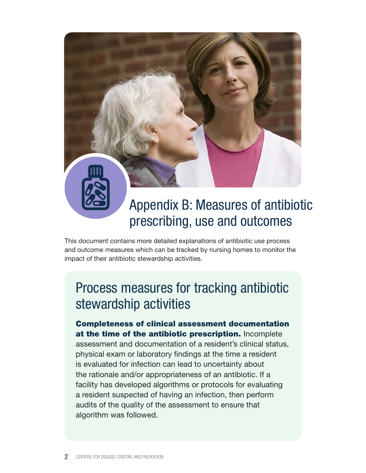# Appendix B: Measures of antibiotic prescribing, use and outcomes

This document contains more detailed explanations of antibiotic use process and outcome measures which can be tracked by nursing homes to monitor the impact of their antibiotic stewardship activities.

## Process measures for tracking antibiotic stewardship activities

#### Completeness of clinical assessment documentation at the time of the antibiotic prescription. Incomplete

assessment and documentation of a resident's clinical status, physical exam or laboratory findings at the time a resident is evaluated for infection can lead to uncertainty about the rationale and/or appropriateness of an antibiotic. If a facility has developed algorithms or protocols for evaluating a resident suspected of having an infection, then perform audits of the quality of the assessment to ensure that algorithm was followed.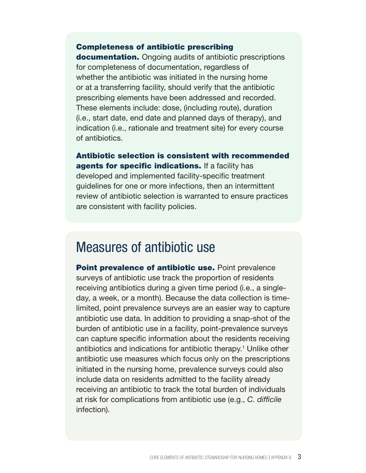#### Completeness of antibiotic prescribing

documentation. Ongoing audits of antibiotic prescriptions for completeness of documentation, regardless of whether the antibiotic was initiated in the nursing home or at a transferring facility, should verify that the antibiotic prescribing elements have been addressed and recorded. These elements include: dose, (including route), duration (i.e., start date, end date and planned days of therapy), and indication (i.e., rationale and treatment site) for every course of antibiotics.

Antibiotic selection is consistent with recommended agents for specific indications. If a facility has developed and implemented facility-specific treatment guidelines for one or more infections, then an intermittent review of antibiotic selection is warranted to ensure practices are consistent with facility policies.

### Measures of antibiotic use

Point prevalence of antibiotic use. Point prevalence surveys of antibiotic use track the proportion of residents receiving antibiotics during a given time period (i.e., a singleday, a week, or a month). Because the data collection is timelimited, point prevalence surveys are an easier way to capture antibiotic use data. In addition to providing a snap-shot of the burden of antibiotic use in a facility, point-prevalence surveys can capture specific information about the residents receiving antibiotics and indications for antibiotic therapy.<sup>1</sup> Unlike other antibiotic use measures which focus only on the prescriptions initiated in the nursing home, prevalence surveys could also include data on residents admitted to the facility already receiving an antibiotic to track the total burden of individuals at risk for complications from antibiotic use (e.g., *C. difficile* infection).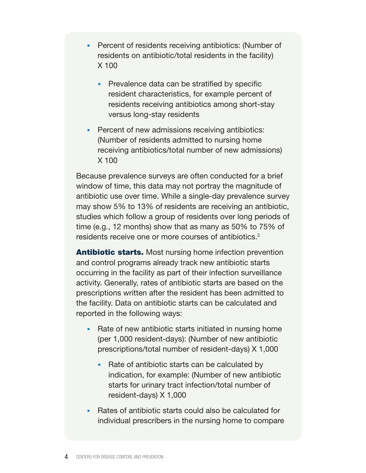- Percent of residents receiving antibiotics: (Number of residents on antibiotic/total residents in the facility) X 100
	- Prevalence data can be stratified by specific resident characteristics, for example percent of residents receiving antibiotics among short-stay versus long-stay residents
- Percent of new admissions receiving antibiotics: (Number of residents admitted to nursing home receiving antibiotics/total number of new admissions) X 100

Because prevalence surveys are often conducted for a brief window of time, this data may not portray the magnitude of antibiotic use over time. While a single-day prevalence survey may show 5% to 13% of residents are receiving an antibiotic, studies which follow a group of residents over long periods of time (e.g., 12 months) show that as many as 50% to 75% of residents receive one or more courses of antibiotics.<sup>2</sup>

**Antibiotic starts.** Most nursing home infection prevention and control programs already track new antibiotic starts occurring in the facility as part of their infection surveillance activity. Generally, rates of antibiotic starts are based on the prescriptions written after the resident has been admitted to the facility. Data on antibiotic starts can be calculated and reported in the following ways:

- Rate of new antibiotic starts initiated in nursing home (per 1,000 resident-days): (Number of new antibiotic prescriptions/total number of resident-days) X 1,000
	- Rate of antibiotic starts can be calculated by indication, for example: (Number of new antibiotic starts for urinary tract infection/total number of resident-days) X 1,000
- Rates of antibiotic starts could also be calculated for individual prescribers in the nursing home to compare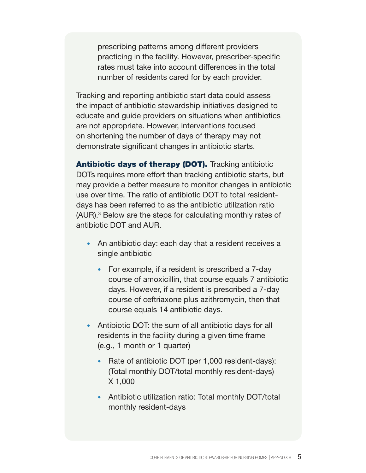prescribing patterns among different providers practicing in the facility. However, prescriber-specific rates must take into account differences in the total number of residents cared for by each provider.

Tracking and reporting antibiotic start data could assess the impact of antibiotic stewardship initiatives designed to educate and guide providers on situations when antibiotics are not appropriate. However, interventions focused on shortening the number of days of therapy may not demonstrate significant changes in antibiotic starts.

Antibiotic days of therapy (DOT). Tracking antibiotic DOTs requires more effort than tracking antibiotic starts, but may provide a better measure to monitor changes in antibiotic use over time. The ratio of antibiotic DOT to total residentdays has been referred to as the antibiotic utilization ratio (AUR).<sup>3</sup> Below are the steps for calculating monthly rates of antibiotic DOT and AUR.

- An antibiotic day: each day that a resident receives a single antibiotic
	- For example, if a resident is prescribed a 7-day course of amoxicillin, that course equals 7 antibiotic days. However, if a resident is prescribed a 7-day course of ceftriaxone plus azithromycin, then that course equals 14 antibiotic days.
- Antibiotic DOT: the sum of all antibiotic days for all residents in the facility during a given time frame (e.g., 1 month or 1 quarter)
	- Rate of antibiotic DOT (per 1,000 resident-days): (Total monthly DOT/total monthly resident-days) X 1,000
	- Antibiotic utilization ratio: Total monthly DOT/total monthly resident-days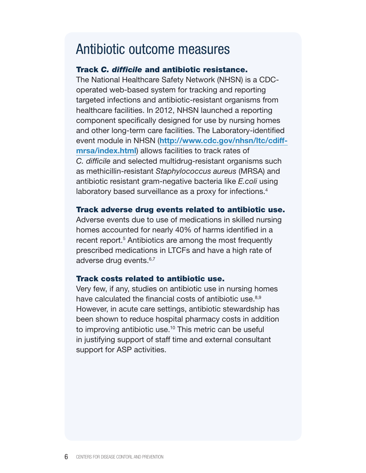### Antibiotic outcome measures

#### Track *C. difficile* and antibiotic resistance.

The National Healthcare Safety Network (NHSN) is a CDCoperated web-based system for tracking and reporting targeted infections and antibiotic-resistant organisms from healthcare facilities. In 2012, NHSN launched a reporting component specifically designed for use by nursing homes and other long-term care facilities. The Laboratory-identified event module in NHSN ([http://www.cdc.gov/nhsn/ltc/cdiff](http://www.cdc.gov/nhsn/ltc/cdiff-mrsa/index.html)[mrsa/index.html](http://www.cdc.gov/nhsn/ltc/cdiff-mrsa/index.html)) allows facilities to track rates of *C. difficile* and selected multidrug-resistant organisms such as methicillin-resistant *Staphylococcus aureus* (MRSA) and antibiotic resistant gram-negative bacteria like *E.coli* using laboratory based surveillance as a proxy for infections.<sup>4</sup>

#### Track adverse drug events related to antibiotic use.

Adverse events due to use of medications in skilled nursing homes accounted for nearly 40% of harms identified in a recent report.<sup>5</sup> Antibiotics are among the most frequently prescribed medications in LTCFs and have a high rate of adverse drug events.<sup>6,7</sup>

### Track costs related to antibiotic use.

Very few, if any, studies on antibiotic use in nursing homes have calculated the financial costs of antibiotic use.<sup>8,9</sup> However, in acute care settings, antibiotic stewardship has been shown to reduce hospital pharmacy costs in addition to improving antibiotic use.<sup>10</sup> This metric can be useful in justifying support of staff time and external consultant support for ASP activities.